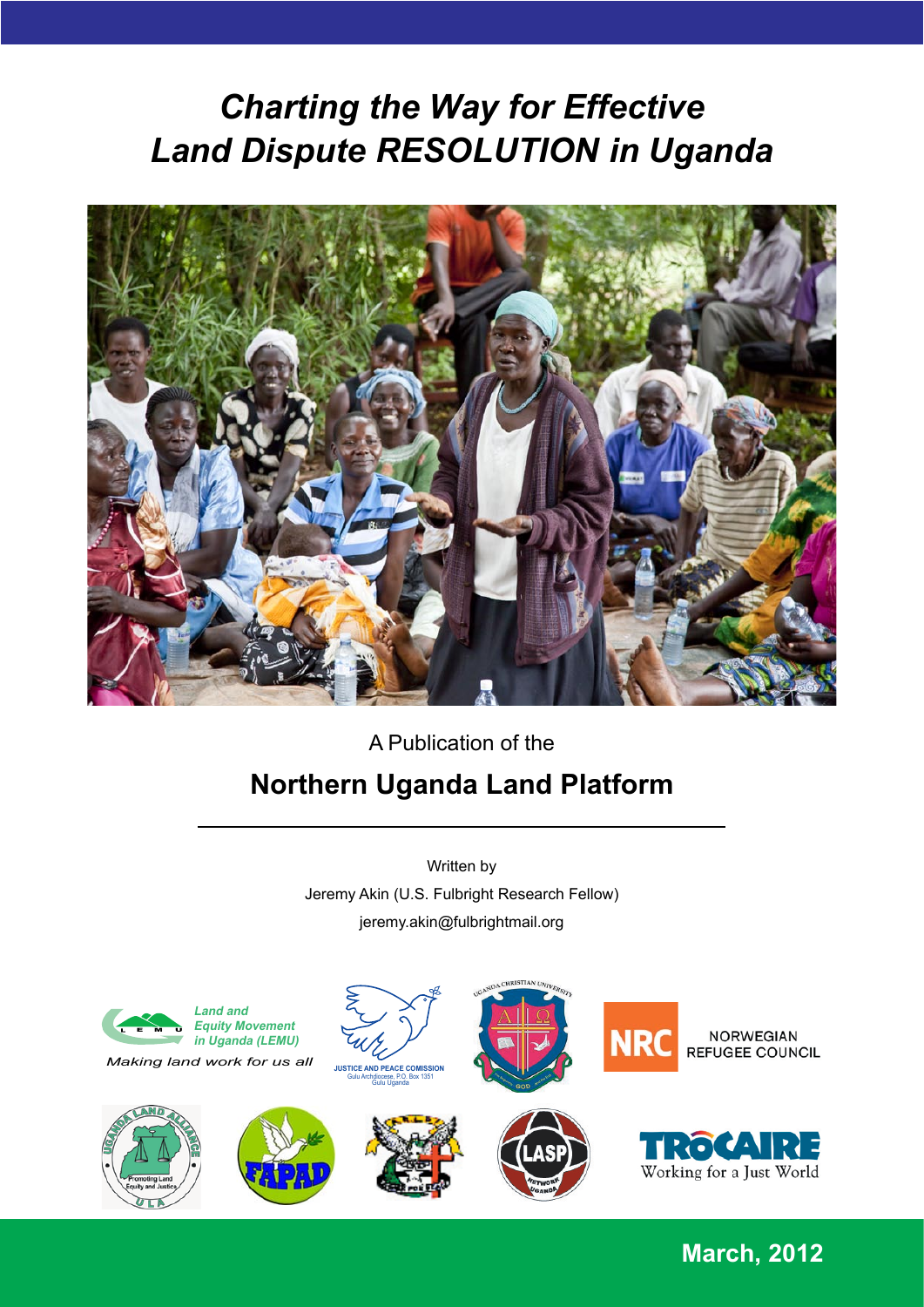# **Land Dispute RESOLUTION in Uganda** *Charting the Way for Effective*



#### $\overline{a}$  Publication of the 32. Sarahing Summary Summary Summary Summary Summary Summary Summary Summary Summary Summary Summary Summary S  $33.33.$  Secretaries sparrelle states states since  $\alpha$ Written by **Northern Uganda Land Platform**

The following persons also contributed greatly to this document: Judy Adoko, Sean Farrell, and Tallin, and Tal Jeremy Akin (U.S. Fulbright Research Fellow) *the ADR-tistry of Land Dispute Mediators in Northern Uganda*, commissioned by the Northern Uganda jeremy.akin@fulbrightmail.org



**March, 2012**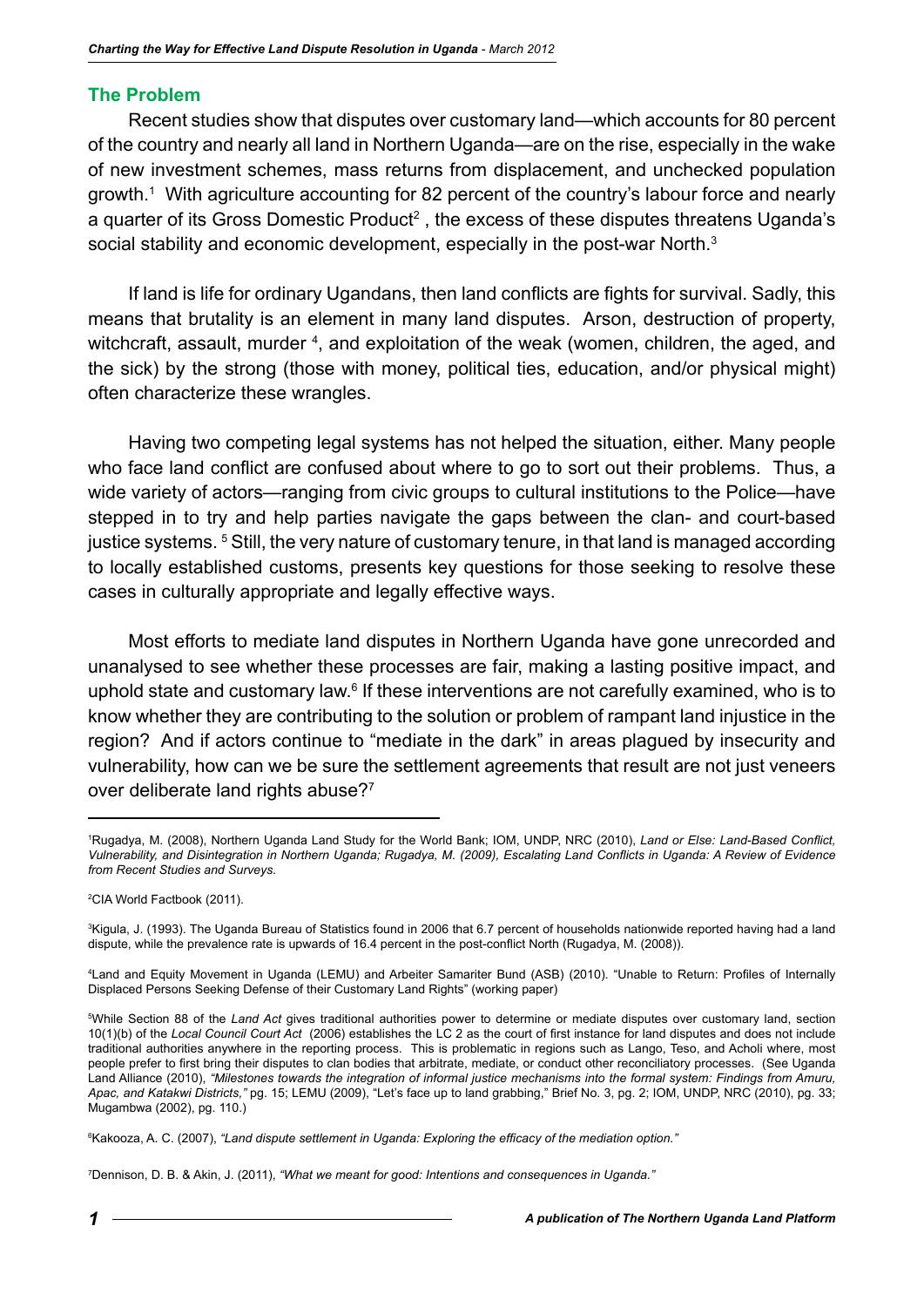#### **The Problem**

Recent studies show that disputes over customary land—which accounts for 80 percent of the country and nearly all land in Northern Uganda—are on the rise, especially in the wake of new investment schemes, mass returns from displacement, and unchecked population growth.1 With agriculture accounting for 82 percent of the country's labour force and nearly a quarter of its Gross Domestic Product<sup>2</sup> , the excess of these disputes threatens Uganda's social stability and economic development, especially in the post-war North.<sup>3</sup>

If land is life for ordinary Ugandans, then land conflicts are fights for survival. Sadly, this means that brutality is an element in many land disputes. Arson, destruction of property, witchcraft, assault, murder <sup>4</sup>, and exploitation of the weak (women, children, the aged, and the sick) by the strong (those with money, political ties, education, and/or physical might) often characterize these wrangles.

Having two competing legal systems has not helped the situation, either. Many people who face land conflict are confused about where to go to sort out their problems. Thus, a wide variety of actors—ranging from civic groups to cultural institutions to the Police—have stepped in to try and help parties navigate the gaps between the clan- and court-based justice systems. <sup>5</sup> Still, the very nature of customary tenure, in that land is managed according to locally established customs, presents key questions for those seeking to resolve these cases in culturally appropriate and legally effective ways.

Most efforts to mediate land disputes in Northern Uganda have gone unrecorded and unanalysed to see whether these processes are fair, making a lasting positive impact, and uphold state and customary law.<sup>6</sup> If these interventions are not carefully examined, who is to know whether they are contributing to the solution or problem of rampant land injustice in the region? And if actors continue to "mediate in the dark" in areas plagued by insecurity and vulnerability, how can we be sure the settlement agreements that result are not just veneers over deliberate land rights abuse?7

7 Dennison, D. B. & Akin, J. (2011), *"What we meant for good: Intentions and consequences in Uganda."*

<sup>1</sup> Rugadya, M. (2008), Northern Uganda Land Study for the World Bank; IOM, UNDP, NRC (2010), *Land or Else: Land-Based Conflict, Vulnerability, and Disintegration in Northern Uganda; Rugadya, M. (2009), Escalating Land Conflicts in Uganda: A Review of Evidence from Recent Studies and Surveys.* 

<sup>2</sup> CIA World Factbook (2011).

<sup>3</sup> Kigula, J. (1993). The Uganda Bureau of Statistics found in 2006 that 6.7 percent of households nationwide reported having had a land dispute, while the prevalence rate is upwards of 16.4 percent in the post-conflict North (Rugadya, M. (2008)).

<sup>4</sup> Land and Equity Movement in Uganda (LEMU) and Arbeiter Samariter Bund (ASB) (2010). "Unable to Return: Profiles of Internally Displaced Persons Seeking Defense of their Customary Land Rights" (working paper)

<sup>5</sup> While Section 88 of the *Land Act* gives traditional authorities power to determine or mediate disputes over customary land, section 10(1)(b) of the *Local Council Court Act* (2006) establishes the LC 2 as the court of first instance for land disputes and does not include traditional authorities anywhere in the reporting process. This is problematic in regions such as Lango, Teso, and Acholi where, most people prefer to first bring their disputes to clan bodies that arbitrate, mediate, or conduct other reconciliatory processes. (See Uganda Land Alliance (2010), *"Milestones towards the integration of informal justice mechanisms into the formal system: Findings from Amuru, Apac, and Katakwi Districts,"* pg. 15; LEMU (2009), "Let's face up to land grabbing," Brief No. 3, pg. 2; IOM, UNDP, NRC (2010), pg. 33; Mugambwa (2002), pg. 110.)

<sup>6</sup> Kakooza, A. C. (2007), *"Land dispute settlement in Uganda: Exploring the efficacy of the mediation option."*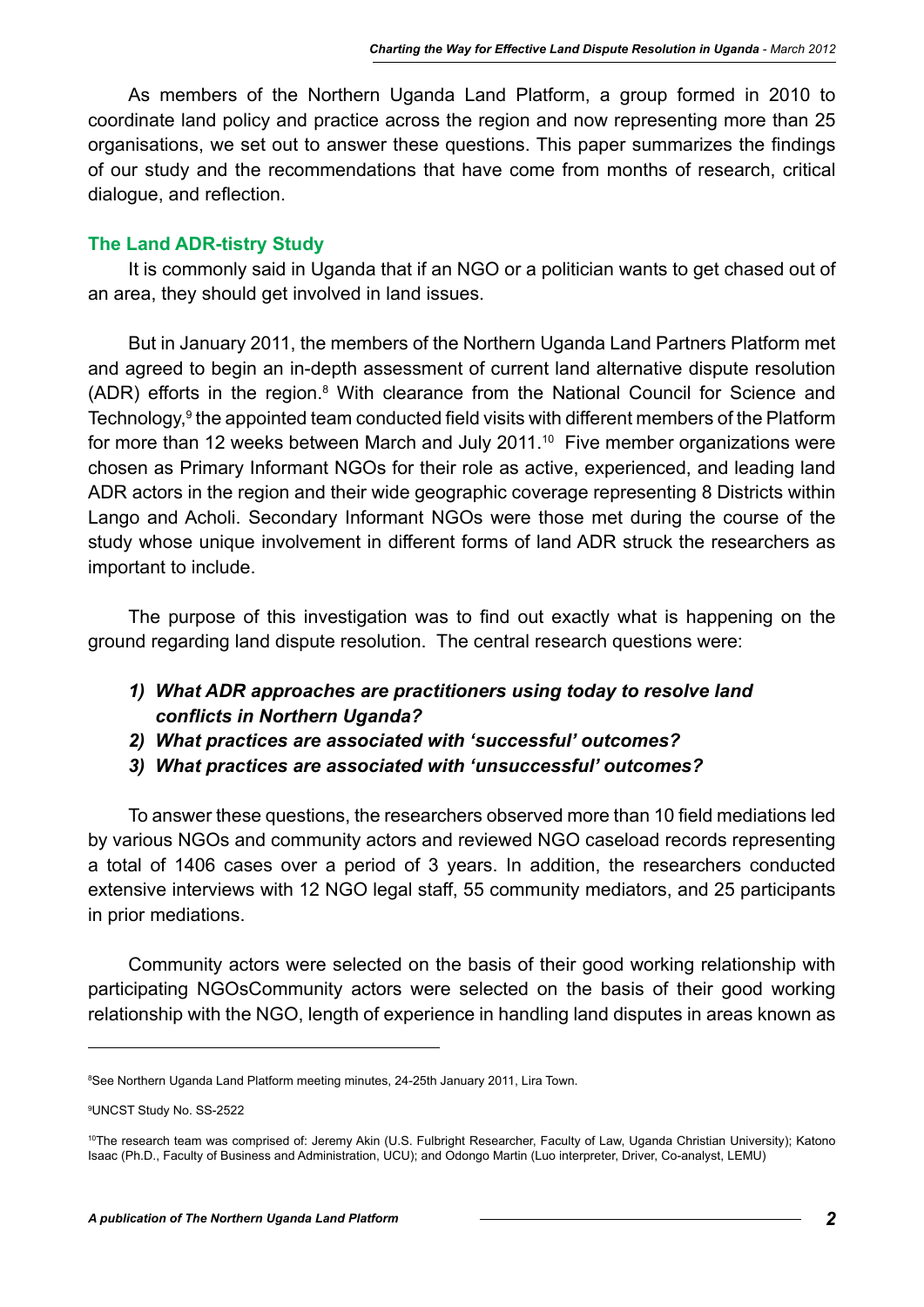As members of the Northern Uganda Land Platform, a group formed in 2010 to coordinate land policy and practice across the region and now representing more than 25 organisations, we set out to answer these questions. This paper summarizes the findings of our study and the recommendations that have come from months of research, critical dialogue, and reflection.

#### **The Land ADR-tistry Study**

It is commonly said in Uganda that if an NGO or a politician wants to get chased out of an area, they should get involved in land issues.

But in January 2011, the members of the Northern Uganda Land Partners Platform met and agreed to begin an in-depth assessment of current land alternative dispute resolution  $(ADR)$  efforts in the region. $8$  With clearance from the National Council for Science and Technology,<sup>9</sup> the appointed team conducted field visits with different members of the Platform for more than 12 weeks between March and July 2011.<sup>10</sup> Five member organizations were chosen as Primary Informant NGOs for their role as active, experienced, and leading land ADR actors in the region and their wide geographic coverage representing 8 Districts within Lango and Acholi. Secondary Informant NGOs were those met during the course of the study whose unique involvement in different forms of land ADR struck the researchers as important to include.

The purpose of this investigation was to find out exactly what is happening on the ground regarding land dispute resolution. The central research questions were:

- *1) What ADR approaches are practitioners using today to resolve land conflicts in Northern Uganda?*
- *2) What practices are associated with 'successful' outcomes?*
- *3) What practices are associated with 'unsuccessful' outcomes?*

To answer these questions, the researchers observed more than 10 field mediations led by various NGOs and community actors and reviewed NGO caseload records representing a total of 1406 cases over a period of 3 years. In addition, the researchers conducted extensive interviews with 12 NGO legal staff, 55 community mediators, and 25 participants in prior mediations.

Community actors were selected on the basis of their good working relationship with participating NGOsCommunity actors were selected on the basis of their good working relationship with the NGO, length of experience in handling land disputes in areas known as

<sup>8</sup> See Northern Uganda Land Platform meeting minutes, 24-25th January 2011, Lira Town.

<sup>9</sup> UNCST Study No. SS-2522

<sup>10</sup>The research team was comprised of: Jeremy Akin (U.S. Fulbright Researcher, Faculty of Law, Uganda Christian University); Katono Isaac (Ph.D., Faculty of Business and Administration, UCU); and Odongo Martin (Luo interpreter, Driver, Co-analyst, LEMU)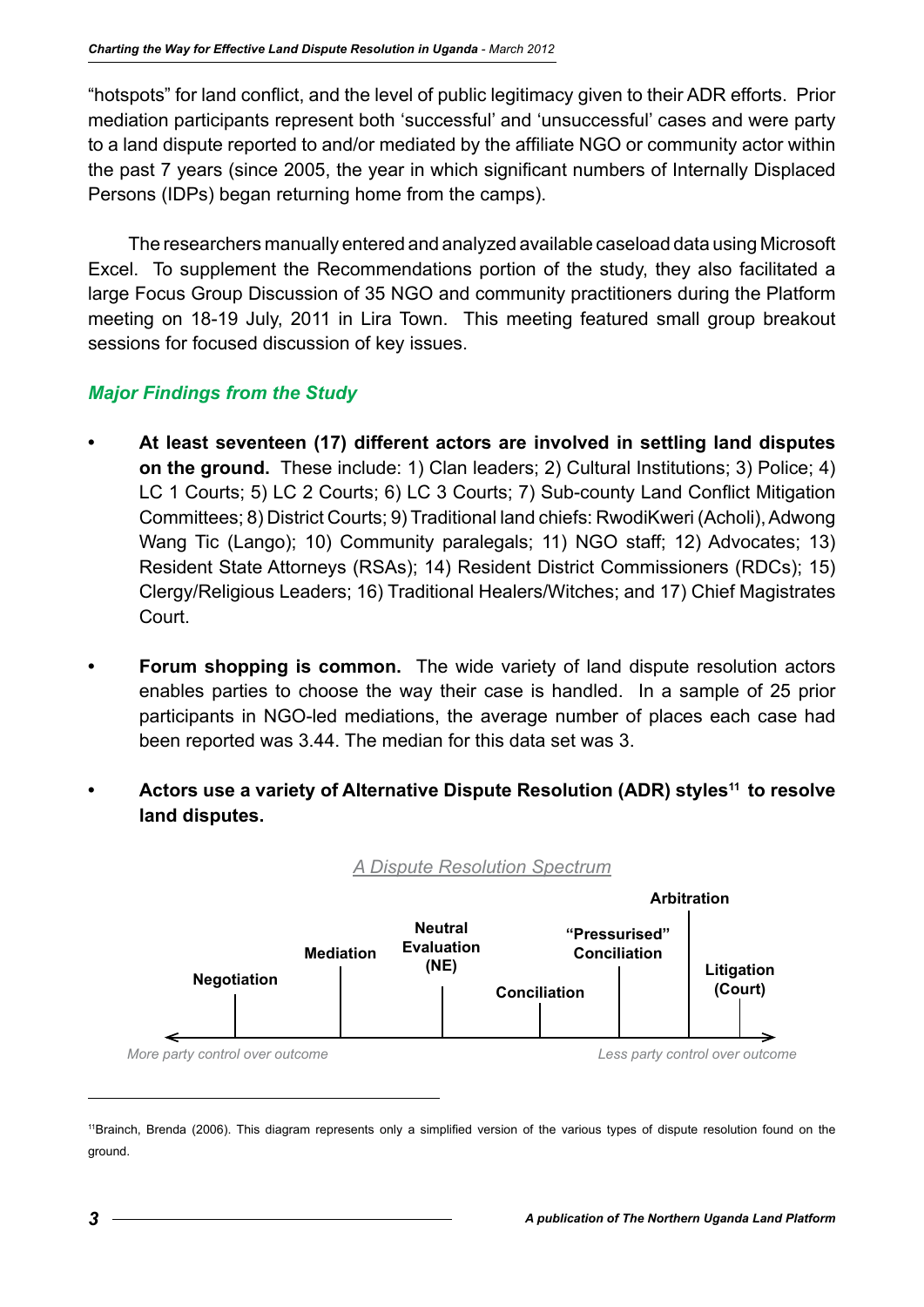"hotspots" for land conflict, and the level of public legitimacy given to their ADR efforts. Prior mediation participants represent both 'successful' and 'unsuccessful' cases and were party to a land dispute reported to and/or mediated by the affiliate NGO or community actor within the past 7 years (since 2005, the year in which significant numbers of Internally Displaced Persons (IDPs) began returning home from the camps).

The researchers manually entered and analyzed available caseload data using Microsoft Excel. To supplement the Recommendations portion of the study, they also facilitated a large Focus Group Discussion of 35 NGO and community practitioners during the Platform meeting on 18-19 July, 2011 in Lira Town. This meeting featured small group breakout sessions for focused discussion of key issues.

### *Major Findings from the Study*

- **• At least seventeen (17) different actors are involved in settling land disputes on the ground.** These include: 1) Clan leaders; 2) Cultural Institutions; 3) Police; 4) LC 1 Courts; 5) LC 2 Courts; 6) LC 3 Courts; 7) Sub-county Land Conflict Mitigation Committees; 8) District Courts; 9) Traditional land chiefs: RwodiKweri (Acholi), Adwong Wang Tic (Lango); 10) Community paralegals; 11) NGO staff; 12) Advocates; 13) Resident State Attorneys (RSAs); 14) Resident District Commissioners (RDCs); 15) Clergy/Religious Leaders; 16) Traditional Healers/Witches; and 17) Chief Magistrates Court.
- **• Forum shopping is common.** The wide variety of land dispute resolution actors enables parties to choose the way their case is handled. In a sample of 25 prior participants in NGO-led mediations, the average number of places each case had been reported was 3.44. The median for this data set was 3.
- Actors use a variety of Alternative Dispute Resolution (ADR) styles<sup>11</sup> to resolve **land disputes.**



<sup>11</sup>Brainch, Brenda (2006). This diagram represents only a simplified version of the various types of dispute resolution found on the ground.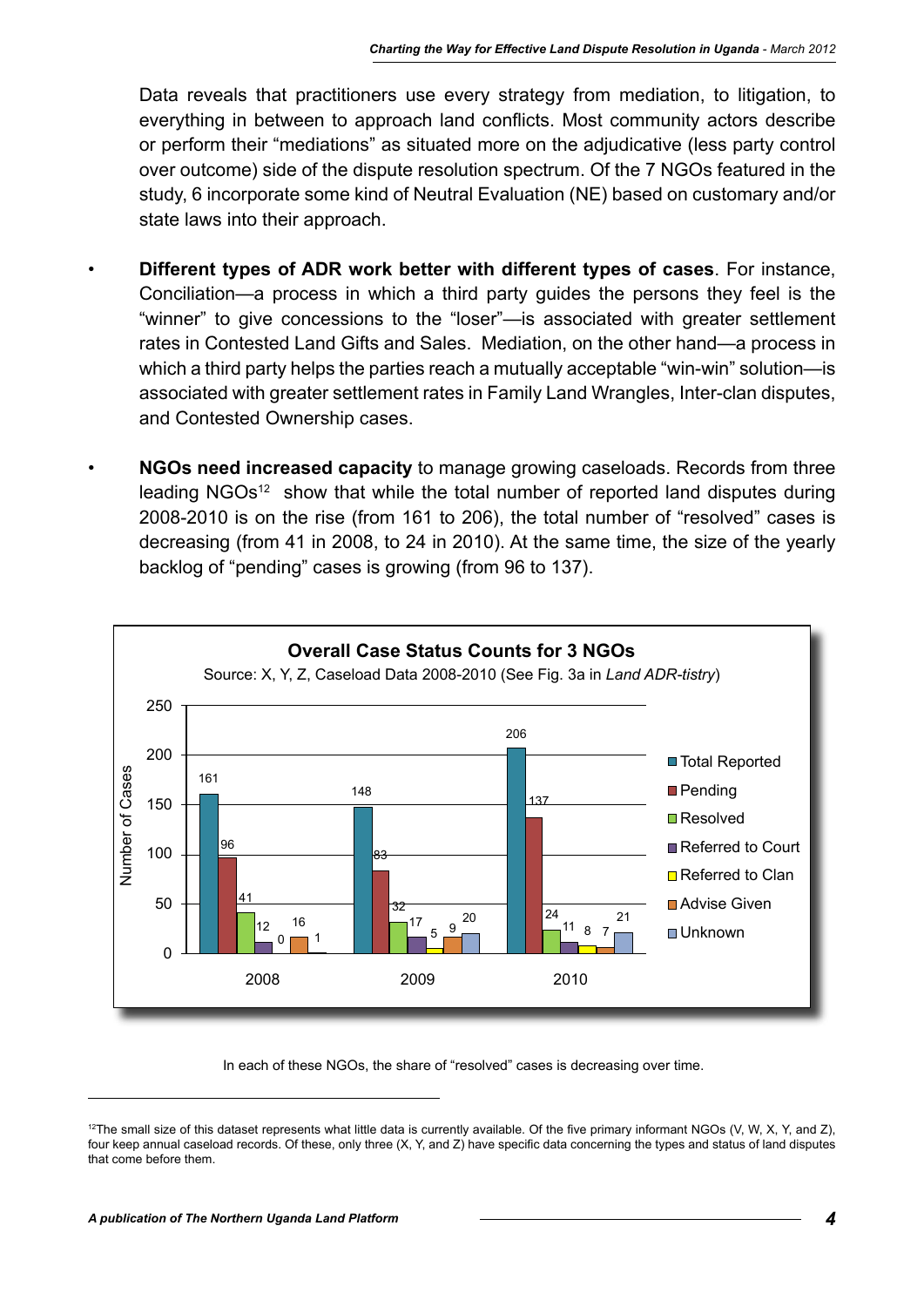Data reveals that practitioners use every strategy from mediation, to litigation, to everything in between to approach land conflicts. Most community actors describe or perform their "mediations" as situated more on the adjudicative (less party control over outcome) side of the dispute resolution spectrum. Of the 7 NGOs featured in the study, 6 incorporate some kind of Neutral Evaluation (NE) based on customary and/or state laws into their approach.

- **Different types of ADR work better with different types of cases**. For instance, Conciliation—a process in which a third party guides the persons they feel is the "winner" to give concessions to the "loser"—is associated with greater settlement rates in Contested Land Gifts and Sales. Mediation, on the other hand—a process in which a third party helps the parties reach a mutually acceptable "win-win" solution—is associated with greater settlement rates in Family Land Wrangles, Inter-clan disputes, and Contested Ownership cases.
- **NGOs need increased capacity** to manage growing caseloads. Records from three leading NGOs<sup>12</sup> show that while the total number of reported land disputes during 2008-2010 is on the rise (from 161 to 206), the total number of "resolved" cases is decreasing (from 41 in 2008, to 24 in 2010). At the same time, the size of the yearly backlog of "pending" cases is growing (from 96 to 137).



In each of these NGOs, the share of "resolved" cases is decreasing over time.

 $12$ The small size of this dataset represents what little data is currently available. Of the five primary informant NGOs (V, W, X, Y, and Z), four keep annual caseload records. Of these, only three (X, Y, and Z) have specific data concerning the types and status of land disputes that come before them.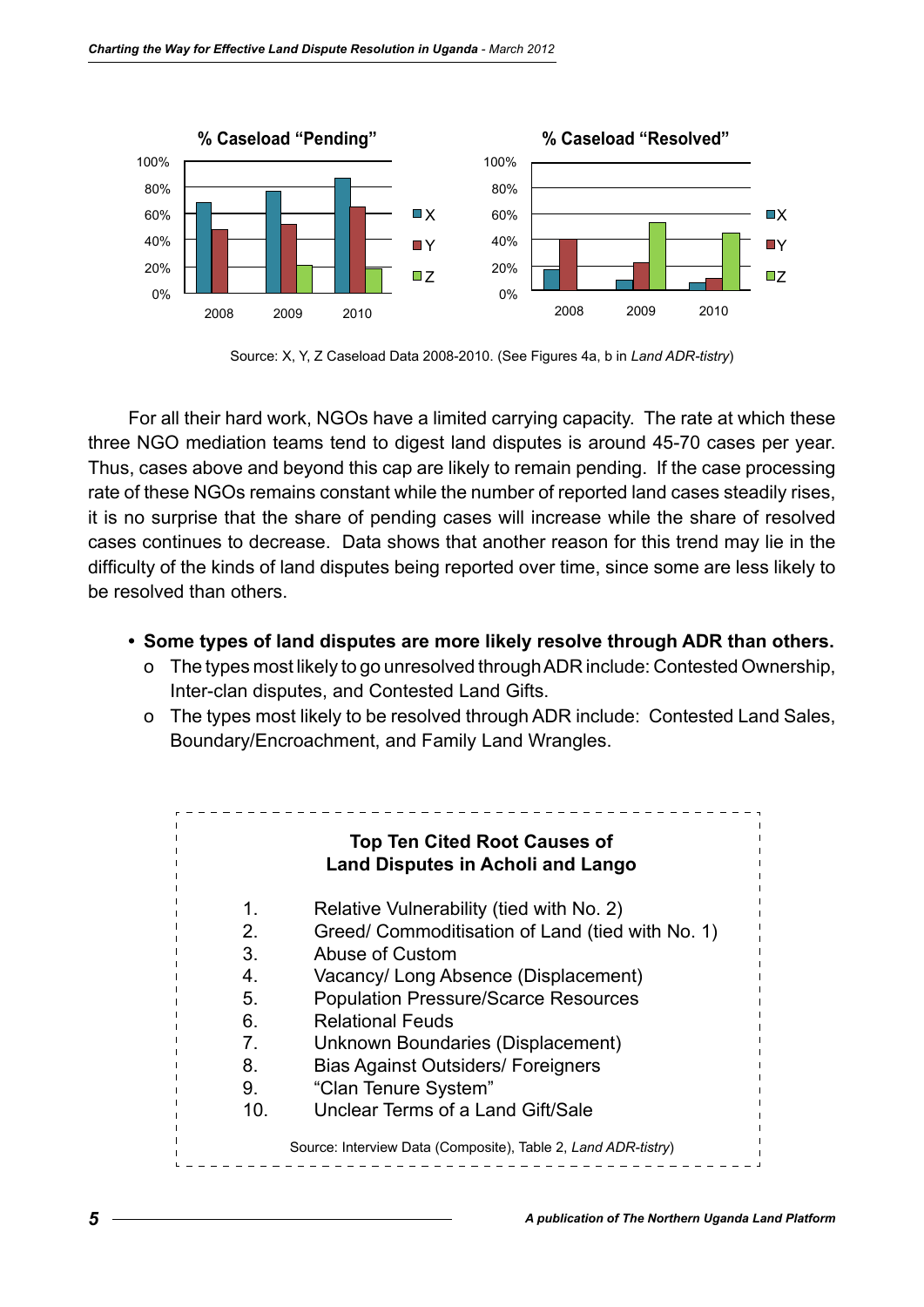

Source: X, Y, Z Caseload Data 2008-2010. (See Figures 4a, b in *Land ADR-tistry*)

For all their hard work, NGOs have a limited carrying capacity. The rate at which these three NGO mediation teams tend to digest land disputes is around 45-70 cases per year. Thus, cases above and beyond this cap are likely to remain pending. If the case processing rate of these NGOs remains constant while the number of reported land cases steadily rises, it is no surprise that the share of pending cases will increase while the share of resolved cases continues to decrease. Data shows that another reason for this trend may lie in the difficulty of the kinds of land disputes being reported over time, since some are less likely to be resolved than others.

- **• Some types of land disputes are more likely resolve through ADR than others.**
	- o The types most likely to go unresolved through ADR include: Contested Ownership, Inter-clan disputes, and Contested Land Gifts.
	- o The types most likely to be resolved through ADR include: Contested Land Sales, Boundary/Encroachment, and Family Land Wrangles.

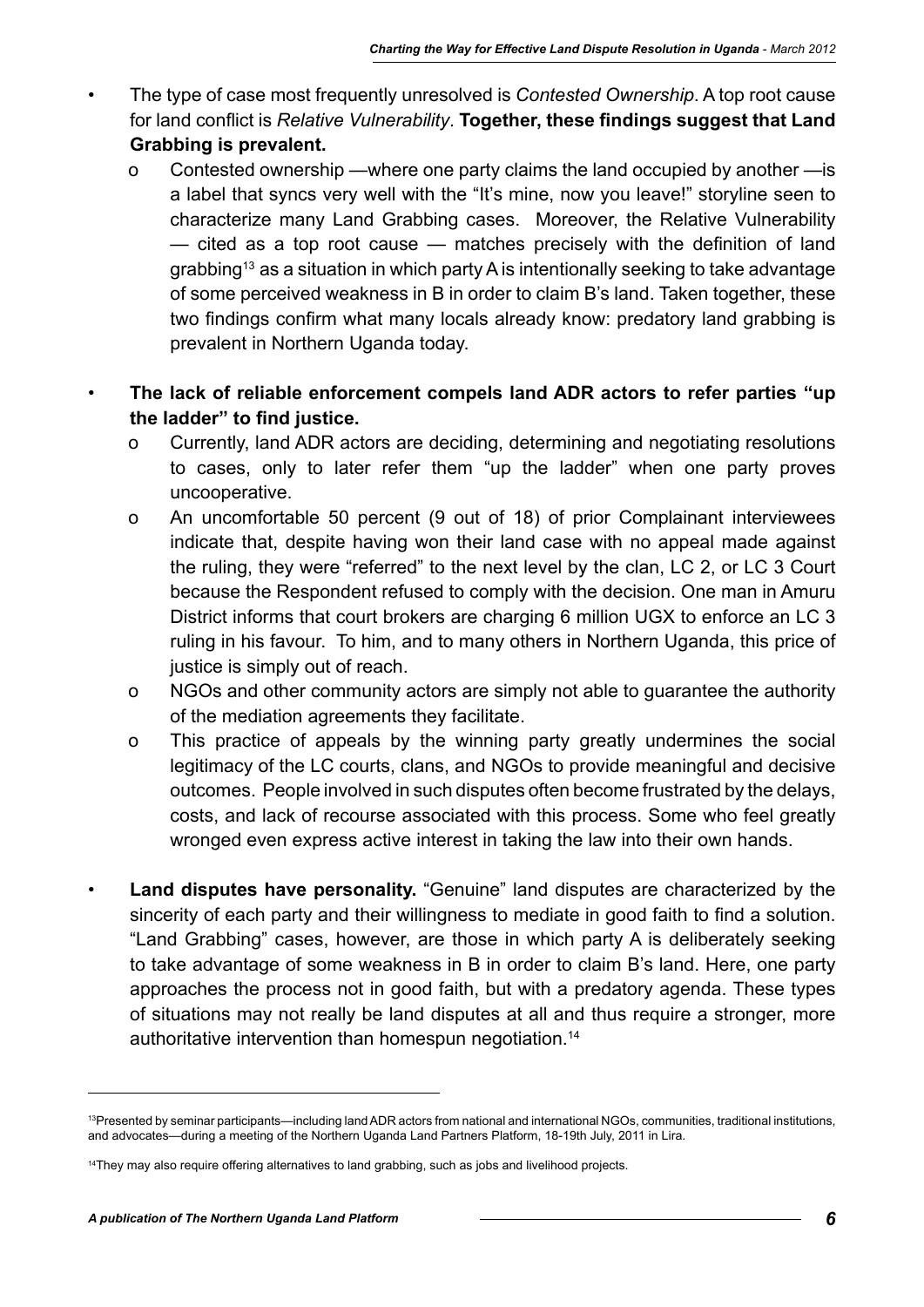- The type of case most frequently unresolved is *Contested Ownership*. A top root cause for land conflict is *Relative Vulnerability*. **Together, these findings suggest that Land Grabbing is prevalent.**
	- o Contested ownership —where one party claims the land occupied by another —is a label that syncs very well with the "It's mine, now you leave!" storyline seen to characterize many Land Grabbing cases. Moreover, the Relative Vulnerability — cited as a top root cause — matches precisely with the definition of land grabbing<sup>13</sup> as a situation in which party A is intentionally seeking to take advantage of some perceived weakness in B in order to claim B's land. Taken together, these two findings confirm what many locals already know: predatory land grabbing is prevalent in Northern Uganda today.
- **The lack of reliable enforcement compels land ADR actors to refer parties "up the ladder" to find justice.**
	- o Currently, land ADR actors are deciding, determining and negotiating resolutions to cases, only to later refer them "up the ladder" when one party proves uncooperative.
	- o An uncomfortable 50 percent (9 out of 18) of prior Complainant interviewees indicate that, despite having won their land case with no appeal made against the ruling, they were "referred" to the next level by the clan, LC 2, or LC 3 Court because the Respondent refused to comply with the decision. One man in Amuru District informs that court brokers are charging 6 million UGX to enforce an LC 3 ruling in his favour. To him, and to many others in Northern Uganda, this price of justice is simply out of reach.
	- o NGOs and other community actors are simply not able to guarantee the authority of the mediation agreements they facilitate.
	- o This practice of appeals by the winning party greatly undermines the social legitimacy of the LC courts, clans, and NGOs to provide meaningful and decisive outcomes. People involved in such disputes often become frustrated by the delays, costs, and lack of recourse associated with this process. Some who feel greatly wronged even express active interest in taking the law into their own hands.
- **Land disputes have personality.** "Genuine" land disputes are characterized by the sincerity of each party and their willingness to mediate in good faith to find a solution. "Land Grabbing" cases, however, are those in which party A is deliberately seeking to take advantage of some weakness in B in order to claim B's land. Here, one party approaches the process not in good faith, but with a predatory agenda. These types of situations may not really be land disputes at all and thus require a stronger, more authoritative intervention than homespun negotiation.<sup>14</sup>

<sup>13</sup>Presented by seminar participants—including land ADR actors from national and international NGOs, communities, traditional institutions, and advocates—during a meeting of the Northern Uganda Land Partners Platform, 18-19th July, 2011 in Lira.

<sup>&</sup>lt;sup>14</sup>They may also require offering alternatives to land grabbing, such as jobs and livelihood projects.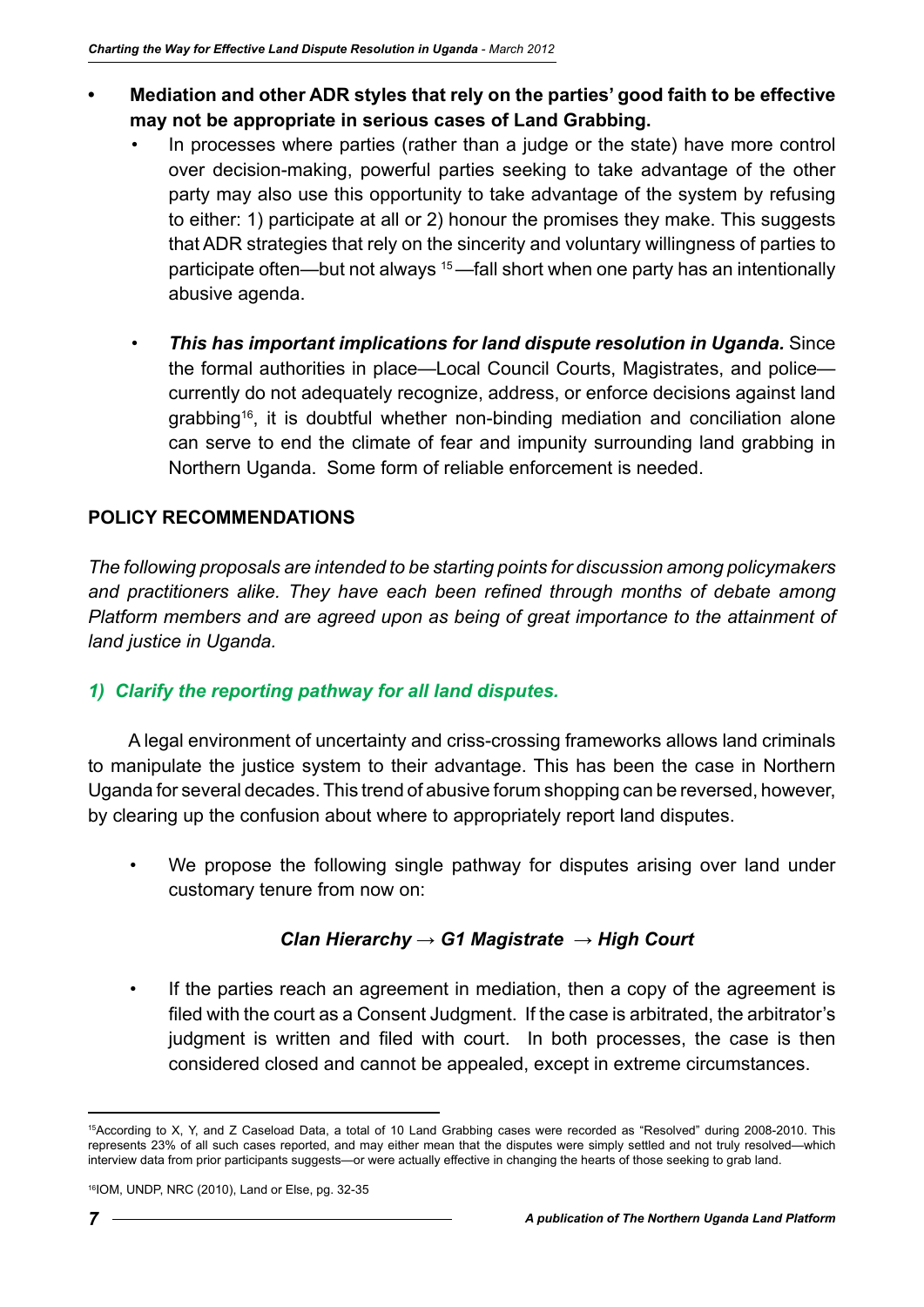- **• Mediation and other ADR styles that rely on the parties' good faith to be effective may not be appropriate in serious cases of Land Grabbing.**
	- In processes where parties (rather than a judge or the state) have more control over decision-making, powerful parties seeking to take advantage of the other party may also use this opportunity to take advantage of the system by refusing to either: 1) participate at all or 2) honour the promises they make. This suggests that ADR strategies that rely on the sincerity and voluntary willingness of parties to participate often—but not always <sup>15</sup>—fall short when one party has an intentionally abusive agenda.
	- *This has important implications for land dispute resolution in Uganda.* Since the formal authorities in place—Local Council Courts, Magistrates, and police currently do not adequately recognize, address, or enforce decisions against land grabbing16, it is doubtful whether non-binding mediation and conciliation alone can serve to end the climate of fear and impunity surrounding land grabbing in Northern Uganda. Some form of reliable enforcement is needed.

## **POLICY RECOMMENDATIONS**

*The following proposals are intended to be starting points for discussion among policymakers and practitioners alike. They have each been refined through months of debate among Platform members and are agreed upon as being of great importance to the attainment of land justice in Uganda.*

### *1) Clarify the reporting pathway for all land disputes.*

A legal environment of uncertainty and criss-crossing frameworks allows land criminals to manipulate the justice system to their advantage. This has been the case in Northern Uganda for several decades. This trend of abusive forum shopping can be reversed, however, by clearing up the confusion about where to appropriately report land disputes.

We propose the following single pathway for disputes arising over land under customary tenure from now on:

### *Clan Hierarchy → G1 Magistrate → High Court*

If the parties reach an agreement in mediation, then a copy of the agreement is filed with the court as a Consent Judgment. If the case is arbitrated, the arbitrator's judgment is written and filed with court. In both processes, the case is then considered closed and cannot be appealed, except in extreme circumstances.

<sup>15</sup>According to X, Y, and Z Caseload Data, a total of 10 Land Grabbing cases were recorded as "Resolved" during 2008-2010. This represents 23% of all such cases reported, and may either mean that the disputes were simply settled and not truly resolved—which interview data from prior participants suggests—or were actually effective in changing the hearts of those seeking to grab land.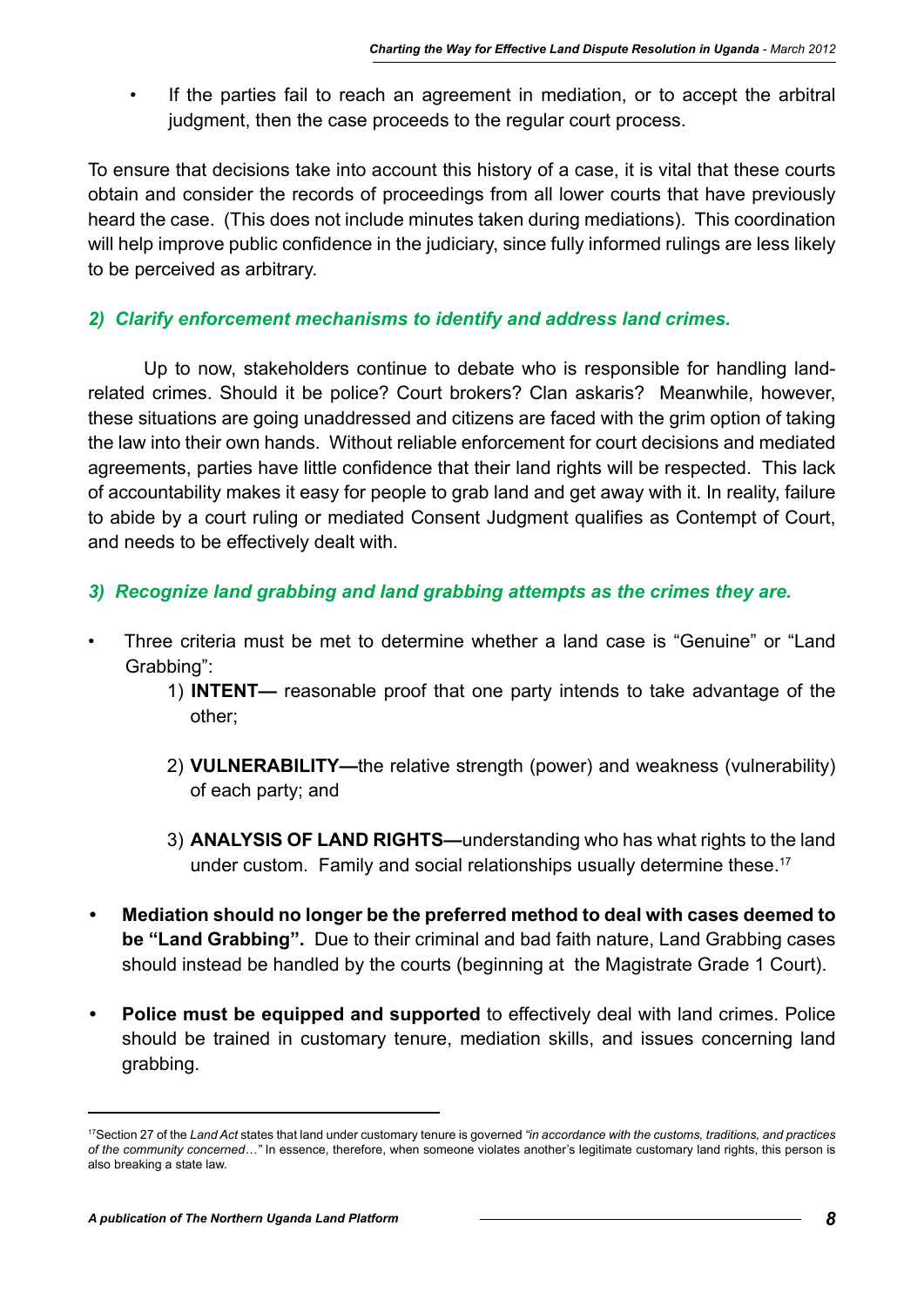• If the parties fail to reach an agreement in mediation, or to accept the arbitral judgment, then the case proceeds to the regular court process.

To ensure that decisions take into account this history of a case, it is vital that these courts obtain and consider the records of proceedings from all lower courts that have previously heard the case. (This does not include minutes taken during mediations). This coordination will help improve public confidence in the judiciary, since fully informed rulings are less likely to be perceived as arbitrary.

# *2) Clarify enforcement mechanisms to identify and address land crimes.*

Up to now, stakeholders continue to debate who is responsible for handling landrelated crimes. Should it be police? Court brokers? Clan askaris? Meanwhile, however, these situations are going unaddressed and citizens are faced with the grim option of taking the law into their own hands. Without reliable enforcement for court decisions and mediated agreements, parties have little confidence that their land rights will be respected. This lack of accountability makes it easy for people to grab land and get away with it. In reality, failure to abide by a court ruling or mediated Consent Judgment qualifies as Contempt of Court, and needs to be effectively dealt with.

# *3) Recognize land grabbing and land grabbing attempts as the crimes they are.*

- Three criteria must be met to determine whether a land case is "Genuine" or "Land Grabbing":
	- 1) **INTENT—** reasonable proof that one party intends to take advantage of the other;
	- 2) **VULNERABILITY—**the relative strength (power) and weakness (vulnerability) of each party; and
	- 3) **ANALYSIS OF LAND RIGHTS—**understanding who has what rights to the land under custom. Family and social relationships usually determine these.<sup>17</sup>
- **• Mediation should no longer be the preferred method to deal with cases deemed to be "Land Grabbing".** Due to their criminal and bad faith nature, Land Grabbing cases should instead be handled by the courts (beginning at the Magistrate Grade 1 Court).
- **• Police must be equipped and supported** to effectively deal with land crimes. Police should be trained in customary tenure, mediation skills, and issues concerning land grabbing.

<sup>17</sup>Section 27 of the *Land Act* states that land under customary tenure is governed *"in accordance with the customs, traditions, and practices of the community concerned…"* In essence, therefore, when someone violates another's legitimate customary land rights, this person is also breaking a state law.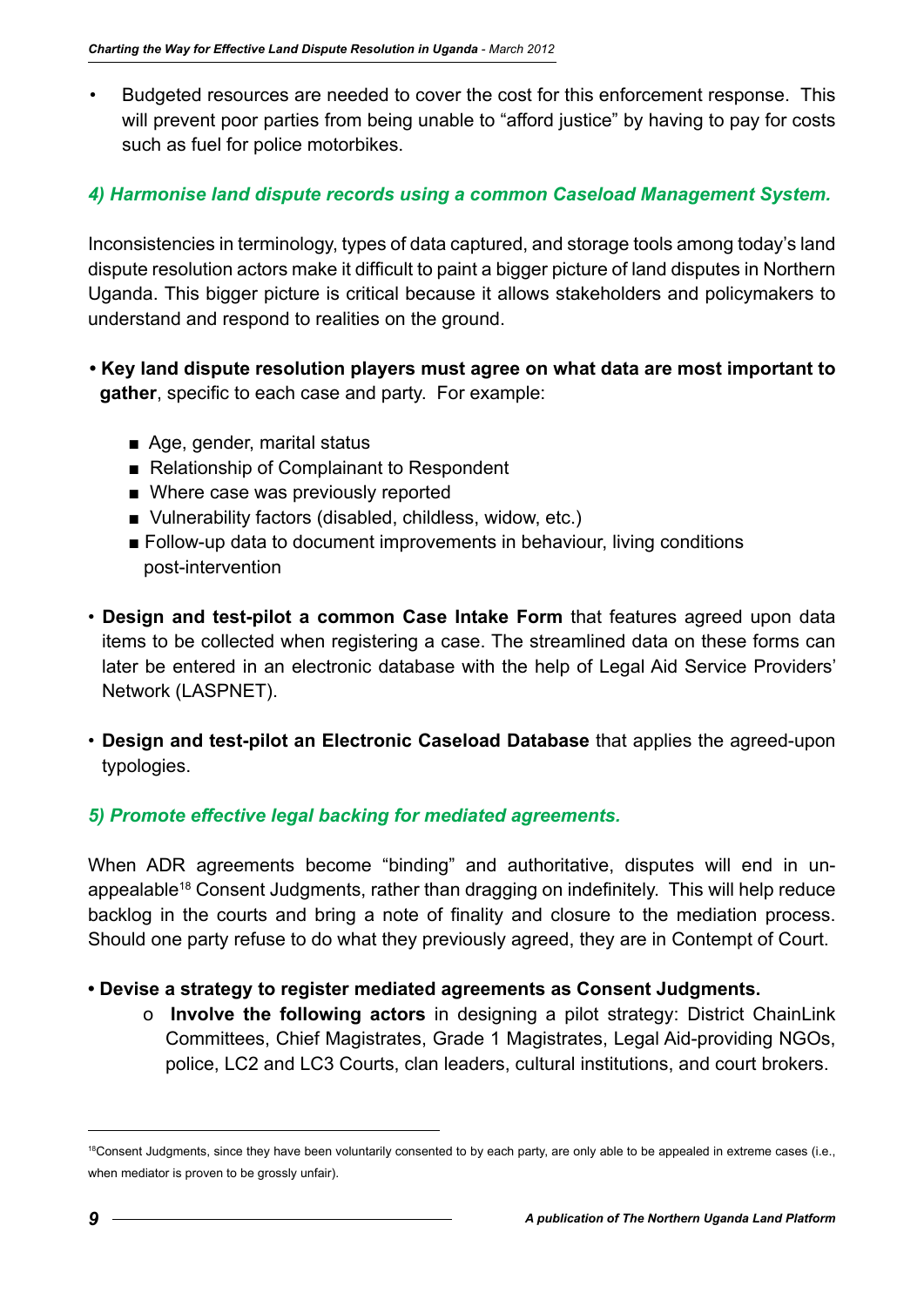• Budgeted resources are needed to cover the cost for this enforcement response. This will prevent poor parties from being unable to "afford justice" by having to pay for costs such as fuel for police motorbikes.

### *4) Harmonise land dispute records using a common Caseload Management System.*

Inconsistencies in terminology, types of data captured, and storage tools among today's land dispute resolution actors make it difficult to paint a bigger picture of land disputes in Northern Uganda. This bigger picture is critical because it allows stakeholders and policymakers to understand and respond to realities on the ground.

- **Key land dispute resolution players must agree on what data are most important to gather**, specific to each case and party. For example:
	- Age, gender, marital status
	- Relationship of Complainant to Respondent
	- Where case was previously reported
	- Vulnerability factors (disabled, childless, widow, etc.)
	- Follow-up data to document improvements in behaviour, living conditions post-intervention
- **Design and test-pilot a common Case Intake Form** that features agreed upon data items to be collected when registering a case. The streamlined data on these forms can later be entered in an electronic database with the help of Legal Aid Service Providers' Network (LASPNET).
- **Design and test-pilot an Electronic Caseload Database** that applies the agreed-upon typologies.

### *5) Promote effective legal backing for mediated agreements.*

When ADR agreements become "binding" and authoritative, disputes will end in unappealable<sup>18</sup> Consent Judgments, rather than dragging on indefinitely. This will help reduce backlog in the courts and bring a note of finality and closure to the mediation process. Should one party refuse to do what they previously agreed, they are in Contempt of Court.

### **• Devise a strategy to register mediated agreements as Consent Judgments.**

 o **Involve the following actors** in designing a pilot strategy: District ChainLink Committees, Chief Magistrates, Grade 1 Magistrates, Legal Aid-providing NGOs, police, LC2 and LC3 Courts, clan leaders, cultural institutions, and court brokers.

<sup>&</sup>lt;sup>18</sup>Consent Judgments, since they have been voluntarily consented to by each party, are only able to be appealed in extreme cases (i.e., when mediator is proven to be grossly unfair).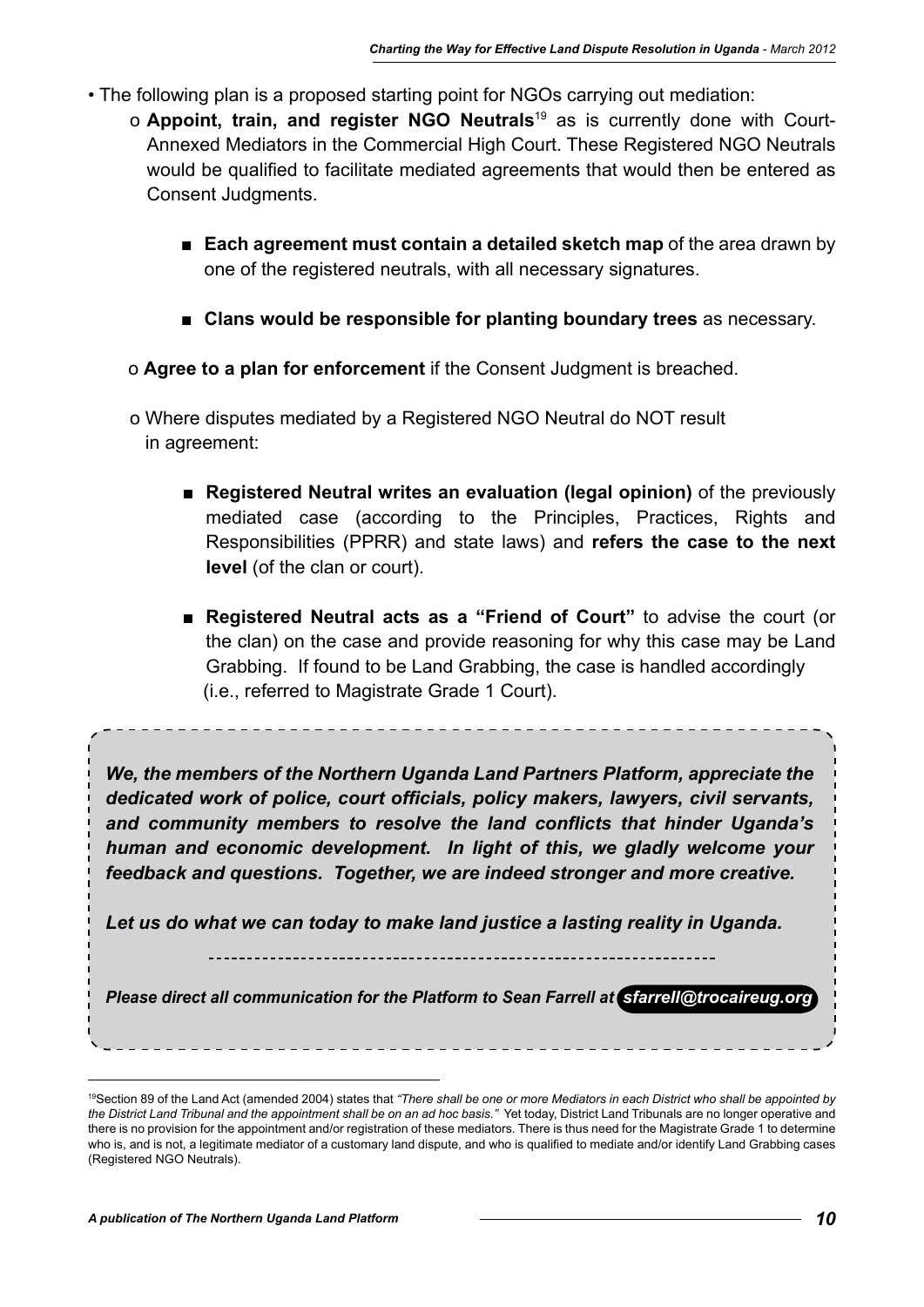- The following plan is a proposed starting point for NGOs carrying out mediation:
	- o **Appoint, train, and register NGO Neutrals**19 as is currently done with Court-Annexed Mediators in the Commercial High Court. These Registered NGO Neutrals would be qualified to facilitate mediated agreements that would then be entered as Consent Judgments.
		- **Each agreement must contain a detailed sketch map** of the area drawn by one of the registered neutrals, with all necessary signatures.
		- **Clans would be responsible for planting boundary trees** as necessary.
		- o **Agree to a plan for enforcement** if the Consent Judgment is breached.
		- o Where disputes mediated by a Registered NGO Neutral do NOT result in agreement:
			- **Registered Neutral writes an evaluation (legal opinion)** of the previously mediated case (according to the Principles, Practices, Rights and Responsibilities (PPRR) and state laws) and **refers the case to the next level** (of the clan or court).
			- **Registered Neutral acts as a "Friend of Court"** to advise the court (or the clan) on the case and provide reasoning for why this case may be Land Grabbing. If found to be Land Grabbing, the case is handled accordingly (i.e., referred to Magistrate Grade 1 Court).

*We, the members of the Northern Uganda Land Partners Platform, appreciate the dedicated work of police, court officials, policy makers, lawyers, civil servants, and community members to resolve the land conflicts that hinder Uganda's human and economic development. In light of this, we gladly welcome your feedback and questions. Together, we are indeed stronger and more creative.* 

*Let us do what we can today to make land justice a lasting reality in Uganda.* 

*Please direct all communication for the Platform to Sean Farrell at <i>Sfarrell@trocaireug.org* 

<sup>19</sup>Section 89 of the Land Act (amended 2004) states that *"There shall be one or more Mediators in each District who shall be appointed by the District Land Tribunal and the appointment shall be on an ad hoc basis."* Yet today, District Land Tribunals are no longer operative and there is no provision for the appointment and/or registration of these mediators. There is thus need for the Magistrate Grade 1 to determine who is, and is not, a legitimate mediator of a customary land dispute, and who is qualified to mediate and/or identify Land Grabbing cases (Registered NGO Neutrals).